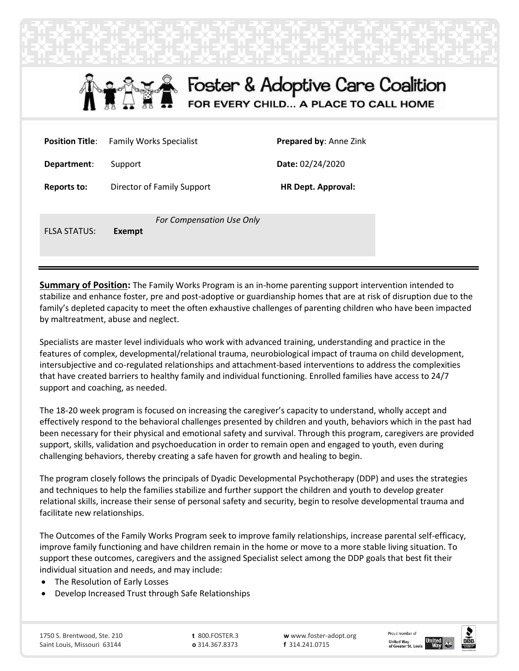



| <b>Position Title:</b> | <b>Family Works Specialist</b>      | <b>Prepared by: Anne Zink</b> |
|------------------------|-------------------------------------|-------------------------------|
| Department:            | Support                             | Date: 02/24/2020              |
| <b>Reports to:</b>     | Director of Family Support          | <b>HR Dept. Approval:</b>     |
| <b>FLSA STATUS:</b>    | For Compensation Use Only<br>Exempt |                               |

**Summary of Position:** The Family Works Program is an in-home parenting support intervention intended to stabilize and enhance foster, pre and post-adoptive or guardianship homes that are at risk of disruption due to the family's depleted capacity to meet the often exhaustive challenges of parenting children who have been impacted by maltreatment, abuse and neglect.

Specialists are master level individuals who work with advanced training, understanding and practice in the features of complex, developmental/relational trauma, neurobiological impact of trauma on child development, intersubjective and co-regulated relationships and attachment-based interventions to address the complexities that have created barriers to healthy family and individual functioning. Enrolled families have access to 24/7 support and coaching, as needed.

The 18-20 week program is focused on increasing the caregiver's capacity to understand, wholly accept and effectively respond to the behavioral challenges presented by children and youth, behaviors which in the past had been necessary for their physical and emotional safety and survival. Through this program, caregivers are provided support, skills, validation and psychoeducation in order to remain open and engaged to youth, even during challenging behaviors, thereby creating a safe haven for growth and healing to begin.

The program closely follows the principals of Dyadic Developmental Psychotherapy (DDP) and uses the strategies and techniques to help the families stabilize and further support the children and youth to develop greater relational skills, increase their sense of personal safety and security, begin to resolve developmental trauma and facilitate new relationships.

The Outcomes of the Family Works Program seek to improve family relationships, increase parental self-efficacy, improve family functioning and have children remain in the home or move to a more stable living situation. To support these outcomes, caregivers and the assigned Specialist select among the DDP goals that best fit their individual situation and needs, and may include:

- The Resolution of Early Losses
- Develop Increased Trust through Safe Relationships

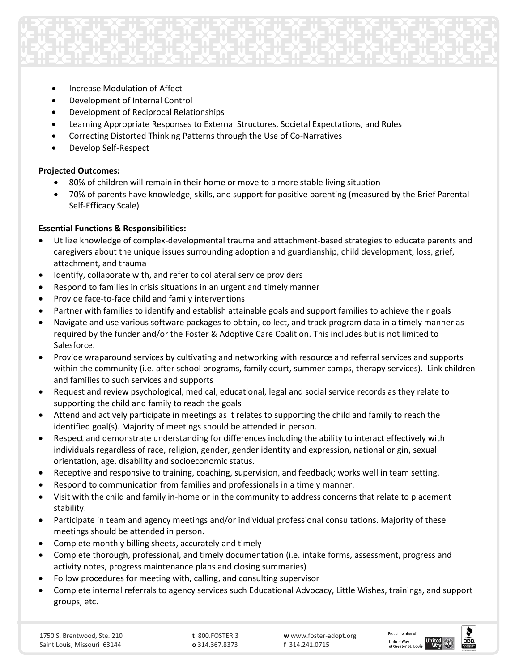

- Increase Modulation of Affect
- Development of Internal Control
- Development of Reciprocal Relationships
- Learning Appropriate Responses to External Structures, Societal Expectations, and Rules
- Correcting Distorted Thinking Patterns through the Use of Co-Narratives
- Develop Self-Respect

## **Projected Outcomes:**

- 80% of children will remain in their home or move to a more stable living situation
- 70% of parents have knowledge, skills, and support for positive parenting (measured by the Brief Parental Self-Efficacy Scale)

## **Essential Functions & Responsibilities:**

- Utilize knowledge of complex-developmental trauma and attachment-based strategies to educate parents and caregivers about the unique issues surrounding adoption and guardianship, child development, loss, grief, attachment, and trauma
- Identify, collaborate with, and refer to collateral service providers
- Respond to families in crisis situations in an urgent and timely manner
- Provide face-to-face child and family interventions
- Partner with families to identify and establish attainable goals and support families to achieve their goals
- Navigate and use various software packages to obtain, collect, and track program data in a timely manner as required by the funder and/or the Foster & Adoptive Care Coalition. This includes but is not limited to Salesforce.
- Provide wraparound services by cultivating and networking with resource and referral services and supports within the community (i.e. after school programs, family court, summer camps, therapy services). Link children and families to such services and supports
- Request and review psychological, medical, educational, legal and social service records as they relate to supporting the child and family to reach the goals
- Attend and actively participate in meetings as it relates to supporting the child and family to reach the identified goal(s). Majority of meetings should be attended in person.
- Respect and demonstrate understanding for differences including the ability to interact effectively with individuals regardless of race, religion, gender, gender identity and expression, national origin, sexual orientation, age, disability and socioeconomic status.
- Receptive and responsive to training, coaching, supervision, and feedback; works well in team setting.
- Respond to communication from families and professionals in a timely manner.
- Visit with the child and family in-home or in the community to address concerns that relate to placement stability.
- Participate in team and agency meetings and/or individual professional consultations. Majority of these meetings should be attended in person.
- Complete monthly billing sheets, accurately and timely
- Complete thorough, professional, and timely documentation (i.e. intake forms, assessment, progress and activity notes, progress maintenance plans and closing summaries)

Keep work calendar current to reflect client appointments, professional meetings, and personal time off

- Follow procedures for meeting with, calling, and consulting supervisor
- Complete internal referrals to agency services such Educational Advocacy, Little Wishes, trainings, and support groups, etc.



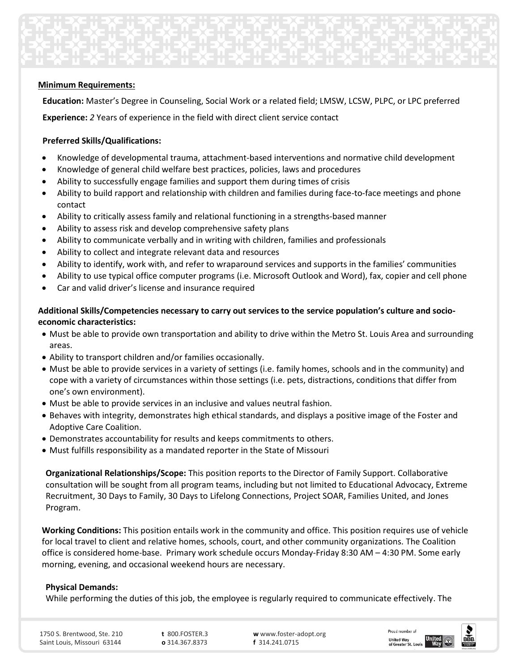

### **Minimum Requirements:**

**Education:** Master's Degree in Counseling, Social Work or a related field; LMSW, LCSW, PLPC, or LPC preferred

**Experience:** *2* Years of experience in the field with direct client service contact

## **Preferred Skills/Qualifications:**

- Knowledge of developmental trauma, attachment-based interventions and normative child development
- Knowledge of general child welfare best practices, policies, laws and procedures
- Ability to successfully engage families and support them during times of crisis
- Ability to build rapport and relationship with children and families during face-to-face meetings and phone contact
- Ability to critically assess family and relational functioning in a strengths-based manner
- Ability to assess risk and develop comprehensive safety plans
- Ability to communicate verbally and in writing with children, families and professionals
- Ability to collect and integrate relevant data and resources
- Ability to identify, work with, and refer to wraparound services and supports in the families' communities
- Ability to use typical office computer programs (i.e. Microsoft Outlook and Word), fax, copier and cell phone
- Car and valid driver's license and insurance required

# **Additional Skills/Competencies necessary to carry out services to the service population's culture and socioeconomic characteristics:**

- Must be able to provide own transportation and ability to drive within the Metro St. Louis Area and surrounding areas.
- Ability to transport children and/or families occasionally.
- Must be able to provide services in a variety of settings (i.e. family homes, schools and in the community) and cope with a variety of circumstances within those settings (i.e. pets, distractions, conditions that differ from one's own environment).
- Must be able to provide services in an inclusive and values neutral fashion.
- Behaves with integrity, demonstrates high ethical standards, and displays a positive image of the Foster and Adoptive Care Coalition.
- Demonstrates accountability for results and keeps commitments to others.
- Must fulfills responsibility as a mandated reporter in the State of Missouri

**Organizational Relationships/Scope:** This position reports to the Director of Family Support. Collaborative consultation will be sought from all program teams, including but not limited to Educational Advocacy, Extreme Recruitment, 30 Days to Family, 30 Days to Lifelong Connections, Project SOAR, Families United, and Jones Program.

**Working Conditions:** This position entails work in the community and office. This position requires use of vehicle for local travel to client and relative homes, schools, court, and other community organizations. The Coalition office is considered home-base. Primary work schedule occurs Monday-Friday 8:30 AM – 4:30 PM. Some early morning, evening, and occasional weekend hours are necessary.

## **Physical Demands:**

While performing the duties of this job, the employee is regularly required to communicate effectively. The